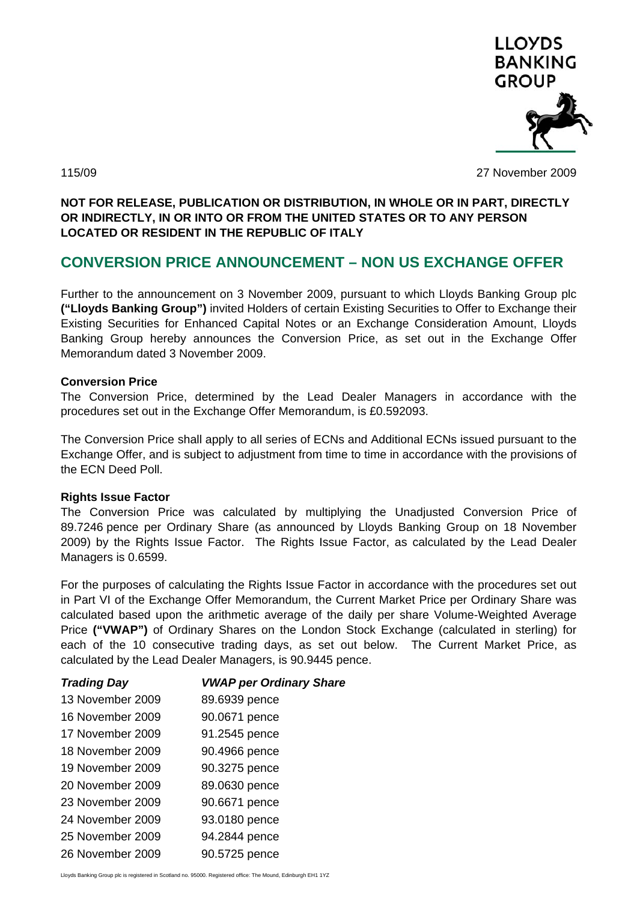

115/09 27 November 2009

### **NOT FOR RELEASE, PUBLICATION OR DISTRIBUTION, IN WHOLE OR IN PART, DIRECTLY OR INDIRECTLY, IN OR INTO OR FROM THE UNITED STATES OR TO ANY PERSON LOCATED OR RESIDENT IN THE REPUBLIC OF ITALY**

# **CONVERSION PRICE ANNOUNCEMENT – NON US EXCHANGE OFFER**

Further to the announcement on 3 November 2009, pursuant to which Lloyds Banking Group plc **("Lloyds Banking Group")** invited Holders of certain Existing Securities to Offer to Exchange their Existing Securities for Enhanced Capital Notes or an Exchange Consideration Amount, Lloyds Banking Group hereby announces the Conversion Price, as set out in the Exchange Offer Memorandum dated 3 November 2009.

### **Conversion Price**

The Conversion Price, determined by the Lead Dealer Managers in accordance with the procedures set out in the Exchange Offer Memorandum, is £0.592093.

The Conversion Price shall apply to all series of ECNs and Additional ECNs issued pursuant to the Exchange Offer, and is subject to adjustment from time to time in accordance with the provisions of the ECN Deed Poll.

### **Rights Issue Factor**

The Conversion Price was calculated by multiplying the Unadjusted Conversion Price of 89.7246 pence per Ordinary Share (as announced by Lloyds Banking Group on 18 November 2009) by the Rights Issue Factor. The Rights Issue Factor, as calculated by the Lead Dealer Managers is 0.6599.

For the purposes of calculating the Rights Issue Factor in accordance with the procedures set out in Part VI of the Exchange Offer Memorandum, the Current Market Price per Ordinary Share was calculated based upon the arithmetic average of the daily per share Volume-Weighted Average Price **("VWAP")** of Ordinary Shares on the London Stock Exchange (calculated in sterling) for each of the 10 consecutive trading days, as set out below. The Current Market Price, as calculated by the Lead Dealer Managers, is 90.9445 pence.

| <b>Trading Day</b> | <b>VWAP per Ordinary Share</b> |
|--------------------|--------------------------------|
| 13 November 2009   | 89.6939 pence                  |
| 16 November 2009   | 90.0671 pence                  |
| 17 November 2009   | 91.2545 pence                  |
| 18 November 2009   | 90.4966 pence                  |
| 19 November 2009   | 90.3275 pence                  |
| 20 November 2009   | 89.0630 pence                  |
| 23 November 2009   | 90.6671 pence                  |
| 24 November 2009   | 93.0180 pence                  |
| 25 November 2009   | 94.2844 pence                  |
| 26 November 2009   | 90.5725 pence                  |

Lloyds Banking Group plc is registered in Scotland no. 95000. Registered office: The Mound, Edinburgh EH1 1YZ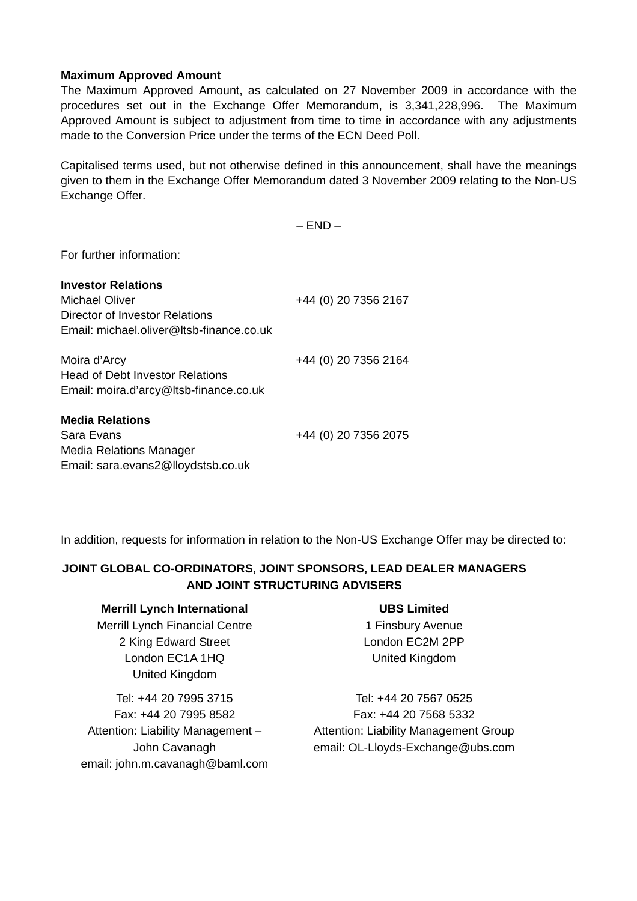### **Maximum Approved Amount**

The Maximum Approved Amount, as calculated on 27 November 2009 in accordance with the procedures set out in the Exchange Offer Memorandum, is 3,341,228,996. The Maximum Approved Amount is subject to adjustment from time to time in accordance with any adjustments made to the Conversion Price under the terms of the ECN Deed Poll.

Capitalised terms used, but not otherwise defined in this announcement, shall have the meanings given to them in the Exchange Offer Memorandum dated 3 November 2009 relating to the Non-US Exchange Offer.

 $-$  END  $-$ 

For further information:

| <b>Investor Relations</b>                |                      |
|------------------------------------------|----------------------|
| Michael Oliver                           | +44 (0) 20 7356 2167 |
| Director of Investor Relations           |                      |
| Email: michael.oliver@ltsb-finance.co.uk |                      |
| Moira d'Arcy                             | +44 (0) 20 7356 2164 |
| <b>Head of Debt Investor Relations</b>   |                      |
| Email: moira.d'arcy@ltsb-finance.co.uk   |                      |
| <b>Media Relations</b>                   |                      |
| Sara Evans                               | +44 (0) 20 7356 2075 |
| Media Relations Manager                  |                      |
| Email: sara.evans2@lloydstsb.co.uk       |                      |

In addition, requests for information in relation to the Non-US Exchange Offer may be directed to:

# **JOINT GLOBAL CO-ORDINATORS, JOINT SPONSORS, LEAD DEALER MANAGERS AND JOINT STRUCTURING ADVISERS**

### **Merrill Lynch International**

Merrill Lynch Financial Centre 2 King Edward Street London EC1A 1HQ United Kingdom

Tel: +44 20 7995 3715 Fax: +44 20 7995 8582 Attention: Liability Management – John Cavanagh email: john.m.cavanagh@baml.com

# **UBS Limited**

1 Finsbury Avenue London EC2M 2PP United Kingdom

Tel: +44 20 7567 0525 Fax: +44 20 7568 5332 Attention: Liability Management Group email: OL-Lloyds-Exchange@ubs.com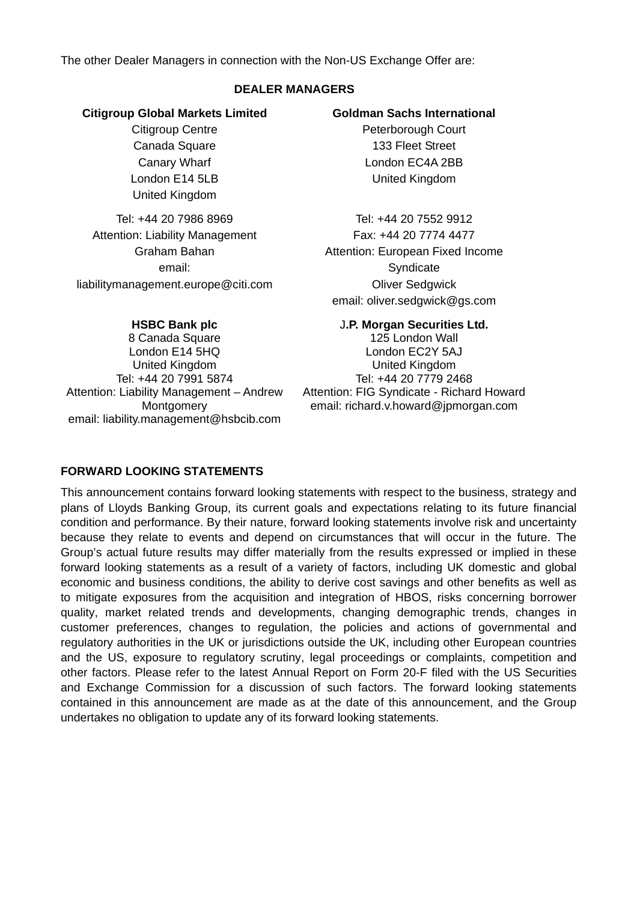The other Dealer Managers in connection with the Non-US Exchange Offer are:

### **DEALER MANAGERS**

### **Citigroup Global Markets Limited**

Citigroup Centre Canada Square Canary Wharf London E14 5LB United Kingdom

Tel: +44 20 7986 8969 Attention: Liability Management Graham Bahan email: liabilitymanagement.europe@citi.com

#### **HSBC Bank plc**

8 Canada Square London E14 5HQ United Kingdom Tel: +44 20 7991 5874 Attention: Liability Management – Andrew **Montgomery** email: liability.management@hsbcib.com

# **Goldman Sachs International**

Peterborough Court 133 Fleet Street London EC4A 2BB United Kingdom

Tel: +44 20 7552 9912 Fax: +44 20 7774 4477 Attention: European Fixed Income **Syndicate** Oliver Sedgwick email: oliver.sedgwick@gs.com

### J**.P. Morgan Securities Ltd.**

125 London Wall London EC2Y 5AJ United Kingdom Tel: +44 20 7779 2468 Attention: FIG Syndicate - Richard Howard email: richard.v.howard@jpmorgan.com

# **FORWARD LOOKING STATEMENTS**

This announcement contains forward looking statements with respect to the business, strategy and plans of Lloyds Banking Group, its current goals and expectations relating to its future financial condition and performance. By their nature, forward looking statements involve risk and uncertainty because they relate to events and depend on circumstances that will occur in the future. The Group's actual future results may differ materially from the results expressed or implied in these forward looking statements as a result of a variety of factors, including UK domestic and global economic and business conditions, the ability to derive cost savings and other benefits as well as to mitigate exposures from the acquisition and integration of HBOS, risks concerning borrower quality, market related trends and developments, changing demographic trends, changes in customer preferences, changes to regulation, the policies and actions of governmental and regulatory authorities in the UK or jurisdictions outside the UK, including other European countries and the US, exposure to regulatory scrutiny, legal proceedings or complaints, competition and other factors. Please refer to the latest Annual Report on Form 20-F filed with the US Securities and Exchange Commission for a discussion of such factors. The forward looking statements contained in this announcement are made as at the date of this announcement, and the Group undertakes no obligation to update any of its forward looking statements.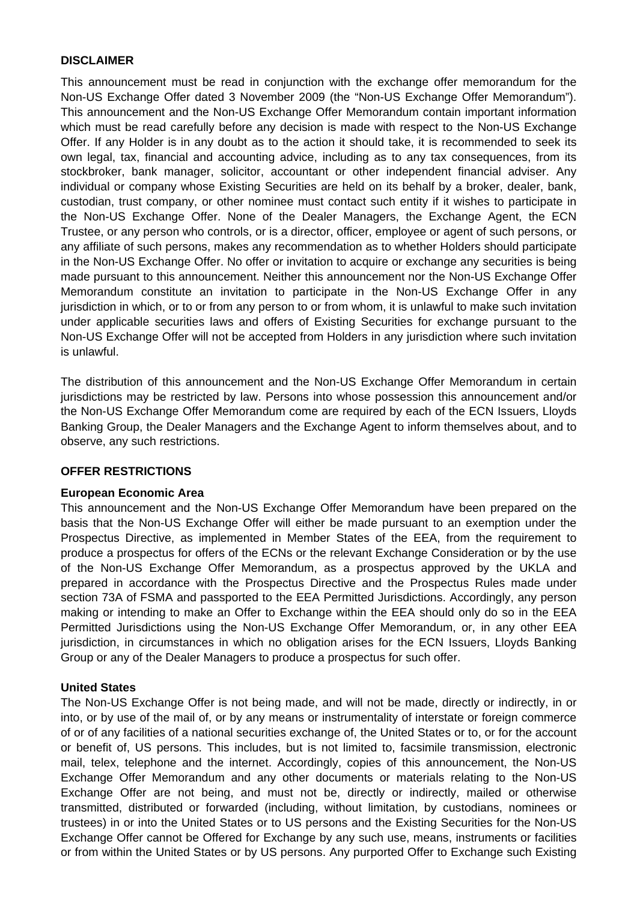#### **DISCLAIMER**

This announcement must be read in conjunction with the exchange offer memorandum for the Non-US Exchange Offer dated 3 November 2009 (the "Non-US Exchange Offer Memorandum"). This announcement and the Non-US Exchange Offer Memorandum contain important information which must be read carefully before any decision is made with respect to the Non-US Exchange Offer. If any Holder is in any doubt as to the action it should take, it is recommended to seek its own legal, tax, financial and accounting advice, including as to any tax consequences, from its stockbroker, bank manager, solicitor, accountant or other independent financial adviser. Any individual or company whose Existing Securities are held on its behalf by a broker, dealer, bank, custodian, trust company, or other nominee must contact such entity if it wishes to participate in the Non-US Exchange Offer. None of the Dealer Managers, the Exchange Agent, the ECN Trustee, or any person who controls, or is a director, officer, employee or agent of such persons, or any affiliate of such persons, makes any recommendation as to whether Holders should participate in the Non-US Exchange Offer. No offer or invitation to acquire or exchange any securities is being made pursuant to this announcement. Neither this announcement nor the Non-US Exchange Offer Memorandum constitute an invitation to participate in the Non-US Exchange Offer in any jurisdiction in which, or to or from any person to or from whom, it is unlawful to make such invitation under applicable securities laws and offers of Existing Securities for exchange pursuant to the Non-US Exchange Offer will not be accepted from Holders in any jurisdiction where such invitation is unlawful.

The distribution of this announcement and the Non-US Exchange Offer Memorandum in certain jurisdictions may be restricted by law. Persons into whose possession this announcement and/or the Non-US Exchange Offer Memorandum come are required by each of the ECN Issuers, Lloyds Banking Group, the Dealer Managers and the Exchange Agent to inform themselves about, and to observe, any such restrictions.

### **OFFER RESTRICTIONS**

### **European Economic Area**

This announcement and the Non-US Exchange Offer Memorandum have been prepared on the basis that the Non-US Exchange Offer will either be made pursuant to an exemption under the Prospectus Directive, as implemented in Member States of the EEA, from the requirement to produce a prospectus for offers of the ECNs or the relevant Exchange Consideration or by the use of the Non-US Exchange Offer Memorandum, as a prospectus approved by the UKLA and prepared in accordance with the Prospectus Directive and the Prospectus Rules made under section 73A of FSMA and passported to the EEA Permitted Jurisdictions. Accordingly, any person making or intending to make an Offer to Exchange within the EEA should only do so in the EEA Permitted Jurisdictions using the Non-US Exchange Offer Memorandum, or, in any other EEA jurisdiction, in circumstances in which no obligation arises for the ECN Issuers, Lloyds Banking Group or any of the Dealer Managers to produce a prospectus for such offer.

### **United States**

The Non-US Exchange Offer is not being made, and will not be made, directly or indirectly, in or into, or by use of the mail of, or by any means or instrumentality of interstate or foreign commerce of or of any facilities of a national securities exchange of, the United States or to, or for the account or benefit of, US persons. This includes, but is not limited to, facsimile transmission, electronic mail, telex, telephone and the internet. Accordingly, copies of this announcement, the Non-US Exchange Offer Memorandum and any other documents or materials relating to the Non-US Exchange Offer are not being, and must not be, directly or indirectly, mailed or otherwise transmitted, distributed or forwarded (including, without limitation, by custodians, nominees or trustees) in or into the United States or to US persons and the Existing Securities for the Non-US Exchange Offer cannot be Offered for Exchange by any such use, means, instruments or facilities or from within the United States or by US persons. Any purported Offer to Exchange such Existing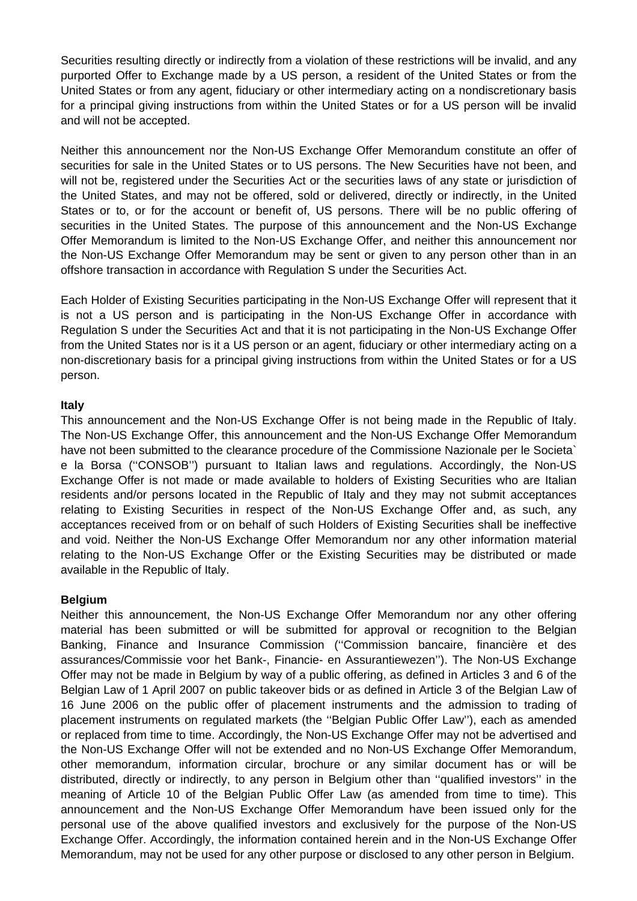Securities resulting directly or indirectly from a violation of these restrictions will be invalid, and any purported Offer to Exchange made by a US person, a resident of the United States or from the United States or from any agent, fiduciary or other intermediary acting on a nondiscretionary basis for a principal giving instructions from within the United States or for a US person will be invalid and will not be accepted.

Neither this announcement nor the Non-US Exchange Offer Memorandum constitute an offer of securities for sale in the United States or to US persons. The New Securities have not been, and will not be, registered under the Securities Act or the securities laws of any state or jurisdiction of the United States, and may not be offered, sold or delivered, directly or indirectly, in the United States or to, or for the account or benefit of, US persons. There will be no public offering of securities in the United States. The purpose of this announcement and the Non-US Exchange Offer Memorandum is limited to the Non-US Exchange Offer, and neither this announcement nor the Non-US Exchange Offer Memorandum may be sent or given to any person other than in an offshore transaction in accordance with Regulation S under the Securities Act.

Each Holder of Existing Securities participating in the Non-US Exchange Offer will represent that it is not a US person and is participating in the Non-US Exchange Offer in accordance with Regulation S under the Securities Act and that it is not participating in the Non-US Exchange Offer from the United States nor is it a US person or an agent, fiduciary or other intermediary acting on a non-discretionary basis for a principal giving instructions from within the United States or for a US person.

### **Italy**

This announcement and the Non-US Exchange Offer is not being made in the Republic of Italy. The Non-US Exchange Offer, this announcement and the Non-US Exchange Offer Memorandum have not been submitted to the clearance procedure of the Commissione Nazionale per le Societa` e la Borsa (''CONSOB'') pursuant to Italian laws and regulations. Accordingly, the Non-US Exchange Offer is not made or made available to holders of Existing Securities who are Italian residents and/or persons located in the Republic of Italy and they may not submit acceptances relating to Existing Securities in respect of the Non-US Exchange Offer and, as such, any acceptances received from or on behalf of such Holders of Existing Securities shall be ineffective and void. Neither the Non-US Exchange Offer Memorandum nor any other information material relating to the Non-US Exchange Offer or the Existing Securities may be distributed or made available in the Republic of Italy.

### **Belgium**

Neither this announcement, the Non-US Exchange Offer Memorandum nor any other offering material has been submitted or will be submitted for approval or recognition to the Belgian Banking, Finance and Insurance Commission (''Commission bancaire, financière et des assurances/Commissie voor het Bank-, Financie- en Assurantiewezen''). The Non-US Exchange Offer may not be made in Belgium by way of a public offering, as defined in Articles 3 and 6 of the Belgian Law of 1 April 2007 on public takeover bids or as defined in Article 3 of the Belgian Law of 16 June 2006 on the public offer of placement instruments and the admission to trading of placement instruments on regulated markets (the ''Belgian Public Offer Law''), each as amended or replaced from time to time. Accordingly, the Non-US Exchange Offer may not be advertised and the Non-US Exchange Offer will not be extended and no Non-US Exchange Offer Memorandum, other memorandum, information circular, brochure or any similar document has or will be distributed, directly or indirectly, to any person in Belgium other than ''qualified investors'' in the meaning of Article 10 of the Belgian Public Offer Law (as amended from time to time). This announcement and the Non-US Exchange Offer Memorandum have been issued only for the personal use of the above qualified investors and exclusively for the purpose of the Non-US Exchange Offer. Accordingly, the information contained herein and in the Non-US Exchange Offer Memorandum, may not be used for any other purpose or disclosed to any other person in Belgium.